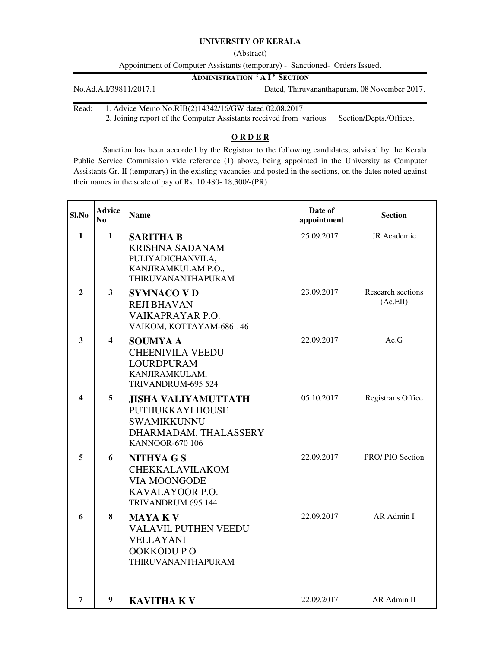## **UNIVERSITY OF KERALA**

(Abstract)

Appointment of Computer Assistants (temporary) - Sanctioned- Orders Issued.

**ADMINISTRATION ' A I ' SECTION**

No.Ad.A.I/39811/2017.1 Dated, Thiruvananthapuram, 08 November 2017.

Read: 1. Advice Memo No.RIB(2)14342/16/GW dated 02.08.2017

2. Joining report of the Computer Assistants received from various Section/Depts./Offices.

## **O R D E R**

 Sanction has been accorded by the Registrar to the following candidates, advised by the Kerala Public Service Commission vide reference (1) above, being appointed in the University as Computer Assistants Gr. II (temporary) in the existing vacancies and posted in the sections, on the dates noted against their names in the scale of pay of Rs. 10,480- 18,300/-(PR).

| Sl.No        | <b>Advice</b><br>N <sub>0</sub> | <b>Name</b>                                                                                                             | Date of<br>appointment | <b>Section</b>                |
|--------------|---------------------------------|-------------------------------------------------------------------------------------------------------------------------|------------------------|-------------------------------|
| $\mathbf{1}$ | $\mathbf{1}$                    | <b>SARITHA B</b><br><b>KRISHNA SADANAM</b><br>PULIYADICHANVILA,<br>KANJIRAMKULAM P.O.,<br><b>THIRUVANANTHAPURAM</b>     | 25.09.2017             | <b>JR</b> Academic            |
| $\mathbf{2}$ | 3                               | <b>SYMNACO V D</b><br><b>REJI BHAVAN</b><br>VAIKAPRAYAR P.O.<br>VAIKOM, KOTTAYAM-686 146                                | 23.09.2017             | Research sections<br>(AC.EII) |
| 3            | $\overline{\mathbf{4}}$         | <b>SOUMYA A</b><br><b>CHEENIVILA VEEDU</b><br><b>LOURDPURAM</b><br>KANJIRAMKULAM,<br>TRIVANDRUM-695 524                 | 22.09.2017             | Ac.G                          |
| 4            | 5                               | <b>JISHA VALIYAMUTTATH</b><br>PUTHUKKAYI HOUSE<br><b>SWAMIKKUNNU</b><br>DHARMADAM, THALASSERY<br><b>KANNOOR-670 106</b> | 05.10.2017             | Registrar's Office            |
| 5            | 6                               | NITHYA G S<br>CHEKKALAVILAKOM<br><b>VIA MOONGODE</b><br>KAVALAYOOR P.O.<br>TRIVANDRUM 695 144                           | 22.09.2017             | PRO/PIO Section               |
| 6            | 8                               | <b>MAYAKV</b><br><b>VALAVIL PUTHEN VEEDU</b><br><b>VELLAYANI</b><br>OOKKODUPO<br>THIRUVANANTHAPURAM                     | 22.09.2017             | AR Admin I                    |
| 7            | 9                               | <b>KAVITHA KV</b>                                                                                                       | 22.09.2017             | AR Admin II                   |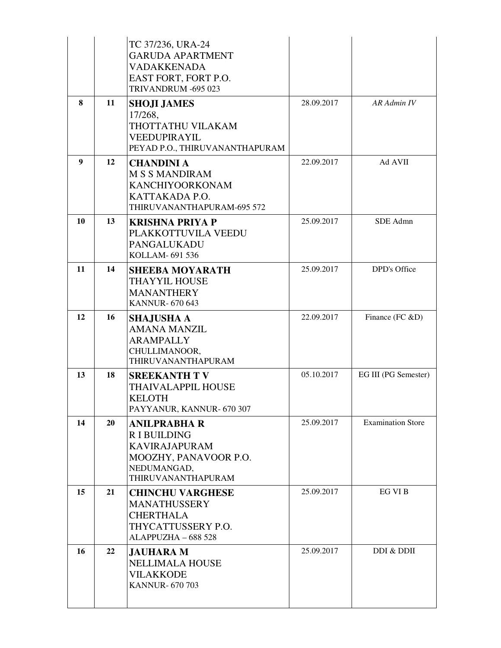|    |    | TC 37/236, URA-24<br><b>GARUDA APARTMENT</b><br><b>VADAKKENADA</b><br>EAST FORT, FORT P.O.<br>TRIVANDRUM -695 023              |            |                          |
|----|----|--------------------------------------------------------------------------------------------------------------------------------|------------|--------------------------|
| 8  | 11 | <b>SHOJI JAMES</b><br>17/268,<br>THOTTATHU VILAKAM<br>VEEDUPIRAYIL<br>PEYAD P.O., THIRUVANANTHAPURAM                           | 28.09.2017 | AR Admin IV              |
| 9  | 12 | <b>CHANDINI A</b><br><b>M S S MANDIRAM</b><br>KANCHIYOORKONAM<br>KATTAKADA P.O.<br>THIRUVANANTHAPURAM-695 572                  | 22.09.2017 | Ad AVII                  |
| 10 | 13 | <b>KRISHNA PRIYA P</b><br>PLAKKOTTUVILA VEEDU<br>PANGALUKADU<br>KOLLAM- 691 536                                                | 25.09.2017 | SDE Admn                 |
| 11 | 14 | <b>SHEEBA MOYARATH</b><br><b>THAYYIL HOUSE</b><br><b>MANANTHERY</b><br><b>KANNUR-670 643</b>                                   | 25.09.2017 | DPD's Office             |
| 12 | 16 | <b>SHAJUSHA A</b><br><b>AMANA MANZIL</b><br><b>ARAMPALLY</b><br>CHULLIMANOOR,<br>THIRUVANANTHAPURAM                            | 22.09.2017 | Finance (FC &D)          |
| 13 | 18 | <b>SREEKANTH TV</b><br><b>THAIVALAPPIL HOUSE</b><br><b>KELOTH</b><br>PAYYANUR, KANNUR- 670 307                                 | 05.10.2017 | EG III (PG Semester)     |
| 14 | 20 | <b>ANILPRABHA R</b><br><b>RIBUILDING</b><br><b>KAVIRAJAPURAM</b><br>MOOZHY, PANAVOOR P.O.<br>NEDUMANGAD,<br>THIRUVANANTHAPURAM | 25.09.2017 | <b>Examination Store</b> |
| 15 | 21 | <b>CHINCHU VARGHESE</b><br><b>MANATHUSSERY</b><br><b>CHERTHALA</b><br>THYCATTUSSERY P.O.<br>ALAPPUZHA - 688 528                | 25.09.2017 | EG VI B                  |
| 16 | 22 | <b>JAUHARA M</b><br><b>NELLIMALA HOUSE</b><br><b>VILAKKODE</b><br><b>KANNUR-670703</b>                                         | 25.09.2017 | DDI & DDII               |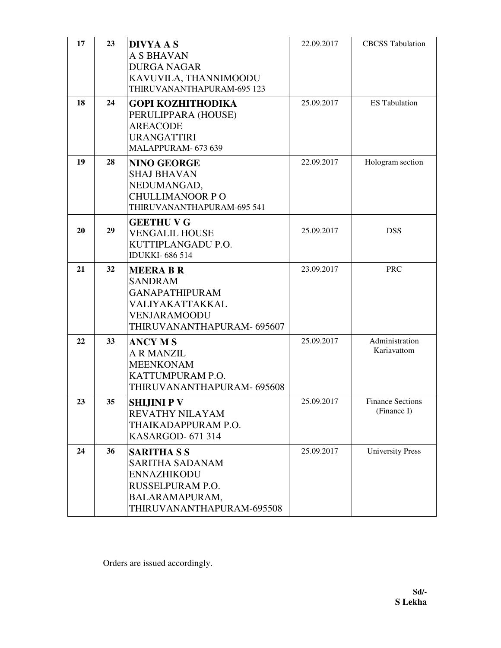| 17 | 23 | <b>DIVYA A S</b><br><b>A S BHAVAN</b><br><b>DURGA NAGAR</b><br>KAVUVILA, THANNIMOODU<br>THIRUVANANTHAPURAM-695 123                    | 22.09.2017 | <b>CBCSS</b> Tabulation                |
|----|----|---------------------------------------------------------------------------------------------------------------------------------------|------------|----------------------------------------|
| 18 | 24 | <b>GOPI KOZHITHODIKA</b><br>PERULIPPARA (HOUSE)<br><b>AREACODE</b><br><b>URANGATTIRI</b><br>MALAPPURAM- 673 639                       | 25.09.2017 | <b>ES</b> Tabulation                   |
| 19 | 28 | <b>NINO GEORGE</b><br><b>SHAJ BHAVAN</b><br>NEDUMANGAD,<br><b>CHULLIMANOOR PO</b><br>THIRUVANANTHAPURAM-695 541                       | 22.09.2017 | Hologram section                       |
| 20 | 29 | <b>GEETHU V G</b><br><b>VENGALIL HOUSE</b><br>KUTTIPLANGADU P.O.<br><b>IDUKKI-686514</b>                                              | 25.09.2017 | <b>DSS</b>                             |
| 21 | 32 | <b>MEERA B R</b><br><b>SANDRAM</b><br><b>GANAPATHIPURAM</b><br>VALIYAKATTAKKAL<br><b>VENJARAMOODU</b><br>THIRUVANANTHAPURAM- 695607   | 23.09.2017 | <b>PRC</b>                             |
| 22 | 33 | <b>ANCY MS</b><br><b>A R MANZIL</b><br><b>MEENKONAM</b><br>KATTUMPURAM P.O.<br>THIRUVANANTHAPURAM- 695608                             | 25.09.2017 | Administration<br>Kariavattom          |
| 23 | 35 | SHIJINI P V<br>REVATHY NILAYAM<br>THAIKADAPPURAM P.O.<br><b>KASARGOD-671314</b>                                                       | 25.09.2017 | <b>Finance Sections</b><br>(Finance I) |
| 24 | 36 | <b>SARITHA S S</b><br><b>SARITHA SADANAM</b><br><b>ENNAZHIKODU</b><br>RUSSELPURAM P.O.<br>BALARAMAPURAM,<br>THIRUVANANTHAPURAM-695508 | 25.09.2017 | <b>University Press</b>                |

Orders are issued accordingly.